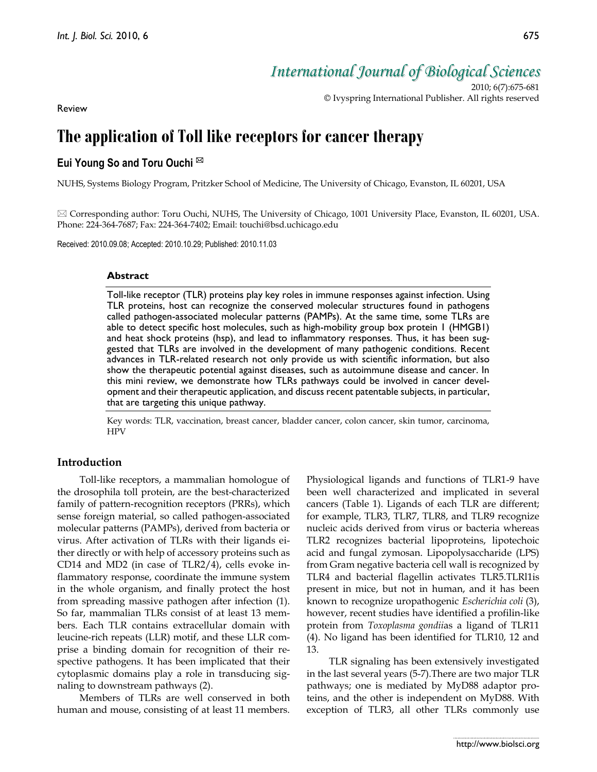*International Journal of Biological Sciences*

2010; 6(7):675-681 © Ivyspring International Publisher. All rights reserved

Review

# **The application of Toll like receptors for cancer therapy**

# **Eui Young So and Toru Ouchi**

NUHS, Systems Biology Program, Pritzker School of Medicine, The University of Chicago, Evanston, IL 60201, USA

 $\boxtimes$  Corresponding author: Toru Ouchi, NUHS, The University of Chicago, 1001 University Place, Evanston, IL 60201, USA. Phone: 224-364-7687; Fax: 224-364-7402; Email: touchi@bsd.uchicago.edu

Received: 2010.09.08; Accepted: 2010.10.29; Published: 2010.11.03

#### **Abstract**

Toll-like receptor (TLR) proteins play key roles in immune responses against infection. Using TLR proteins, host can recognize the conserved molecular structures found in pathogens called pathogen-associated molecular patterns (PAMPs). At the same time, some TLRs are able to detect specific host molecules, such as high-mobility group box protein 1 (HMGB1) and heat shock proteins (hsp), and lead to inflammatory responses. Thus, it has been suggested that TLRs are involved in the development of many pathogenic conditions. Recent advances in TLR-related research not only provide us with scientific information, but also show the therapeutic potential against diseases, such as autoimmune disease and cancer. In this mini review, we demonstrate how TLRs pathways could be involved in cancer development and their therapeutic application, and discuss recent patentable subjects, in particular, that are targeting this unique pathway.

Key words: TLR, vaccination, breast cancer, bladder cancer, colon cancer, skin tumor, carcinoma, HPV

# **Introduction**

Toll-like receptors, a mammalian homologue of the drosophila toll protein, are the best-characterized family of pattern-recognition receptors (PRRs), which sense foreign material, so called pathogen-associated molecular patterns (PAMPs), derived from bacteria or virus. After activation of TLRs with their ligands either directly or with help of accessory proteins such as CD14 and MD2 (in case of TLR2/4), cells evoke inflammatory response, coordinate the immune system in the whole organism, and finally protect the host from spreading massive pathogen after infection (1). So far, mammalian TLRs consist of at least 13 members. Each TLR contains extracellular domain with leucine-rich repeats (LLR) motif, and these LLR comprise a binding domain for recognition of their respective pathogens. It has been implicated that their cytoplasmic domains play a role in transducing signaling to downstream pathways (2).

Members of TLRs are well conserved in both human and mouse, consisting of at least 11 members.

Physiological ligands and functions of TLR1-9 have been well characterized and implicated in several cancers (Table 1). Ligands of each TLR are different; for example, TLR3, TLR7, TLR8, and TLR9 recognize nucleic acids derived from virus or bacteria whereas TLR2 recognizes bacterial lipoproteins, lipotechoic acid and fungal zymosan. Lipopolysaccharide (LPS) from Gram negative bacteria cell wall is recognized by TLR4 and bacterial flagellin activates TLR5.TLRl1is present in mice, but not in human, and it has been known to recognize uropathogenic *Escherichia coli* (3), however, recent studies have identified a profilin-like protein from *Toxoplasma gondii*as a ligand of TLR11 (4). No ligand has been identified for TLR10, 12 and 13.

TLR signaling has been extensively investigated in the last several years (5-7).There are two major TLR pathways; one is mediated by MyD88 adaptor proteins, and the other is independent on MyD88. With exception of TLR3, all other TLRs commonly use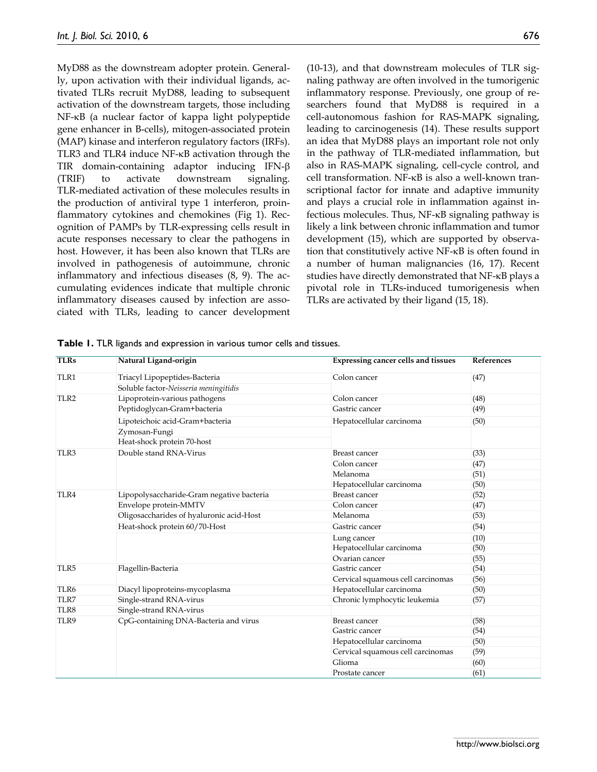MyD88 as the downstream adopter protein. Generally, upon activation with their individual ligands, activated TLRs recruit MyD88, leading to subsequent activation of the downstream targets, those including NF-KB (a nuclear factor of kappa light polypeptide gene enhancer in B-cells), mitogen-associated protein (MAP) kinase and interferon regulatory factors (IRFs). TLR3 and TLR4 induce NF- $\kappa$ B activation through the TIR domain-containing adaptor inducing IFN- (TRIF) to activate downstream signaling. TLR-mediated activation of these molecules results in the production of antiviral type 1 interferon, proinflammatory cytokines and chemokines (Fig 1). Recognition of PAMPs by TLR-expressing cells result in acute responses necessary to clear the pathogens in host. However, it has been also known that TLRs are involved in pathogenesis of autoimmune, chronic inflammatory and infectious diseases (8, 9). The accumulating evidences indicate that multiple chronic inflammatory diseases caused by infection are associated with TLRs, leading to cancer development

(10-13), and that downstream molecules of TLR signaling pathway are often involved in the tumorigenic inflammatory response. Previously, one group of researchers found that MyD88 is required in a cell-autonomous fashion for RAS-MAPK signaling, leading to carcinogenesis (14). These results support an idea that MyD88 plays an important role not only in the pathway of TLR-mediated inflammation, but also in RAS-MAPK signaling, cell-cycle control, and cell transformation. NF-KB is also a well-known transcriptional factor for innate and adaptive immunity and plays a crucial role in inflammation against infectious molecules. Thus, NF-KB signaling pathway is likely a link between chronic inflammation and tumor development (15), which are supported by observation that constitutively active  $NF-\kappa B$  is often found in a number of human malignancies (16, 17). Recent studies have directly demonstrated that NF-KB plays a pivotal role in TLRs-induced tumorigenesis when TLRs are activated by their ligand (15, 18).

| <b>TLRs</b>      | Natural Ligand-origin                     | <b>Expressing cancer cells and tissues</b> | <b>References</b> |
|------------------|-------------------------------------------|--------------------------------------------|-------------------|
| TLR1             | Triacyl Lipopeptides-Bacteria             | Colon cancer                               | (47)              |
|                  | Soluble factor-Neisseria meningitidis     |                                            |                   |
| TLR <sub>2</sub> | Lipoprotein-various pathogens             | Colon cancer                               | (48)              |
|                  | Peptidoglycan-Gram+bacteria               | Gastric cancer                             | (49)              |
|                  | Lipoteichoic acid-Gram+bacteria           | Hepatocellular carcinoma                   | (50)              |
|                  | Zymosan-Fungi                             |                                            |                   |
|                  | Heat-shock protein 70-host                |                                            |                   |
| TLR3             | Double stand RNA-Virus                    | <b>Breast cancer</b>                       | (33)              |
|                  |                                           | Colon cancer                               | (47)              |
|                  |                                           | Melanoma                                   | (51)              |
|                  |                                           | Hepatocellular carcinoma                   | (50)              |
| TLR4             | Lipopolysaccharide-Gram negative bacteria | Breast cancer                              | (52)              |
|                  | Envelope protein-MMTV                     | Colon cancer                               | (47)              |
|                  | Oligosaccharides of hyaluronic acid-Host  | Melanoma                                   | (53)              |
|                  | Heat-shock protein 60/70-Host             | Gastric cancer                             | (54)              |
|                  |                                           | Lung cancer                                | (10)              |
|                  |                                           | Hepatocellular carcinoma                   | (50)              |
|                  |                                           | Ovarian cancer                             | (55)              |
| TLR5             | Flagellin-Bacteria                        | Gastric cancer                             | (54)              |
|                  |                                           | Cervical squamous cell carcinomas          | (56)              |
| TLR6             | Diacyl lipoproteins-mycoplasma            | Hepatocellular carcinoma                   | (50)              |
| TLR7             | Single-strand RNA-virus                   | Chronic lymphocytic leukemia               | (57)              |
| TLR8             | Single-strand RNA-virus                   |                                            |                   |
| TLR9             | CpG-containing DNA-Bacteria and virus     | <b>Breast cancer</b>                       | (58)              |
|                  |                                           | Gastric cancer                             | (54)              |
|                  |                                           | Hepatocellular carcinoma                   | (50)              |
|                  |                                           | Cervical squamous cell carcinomas          | (59)              |
|                  |                                           | Glioma                                     | (60)              |
|                  |                                           | Prostate cancer                            | (61)              |

**Table 1.** TLR ligands and expression in various tumor cells and tissues.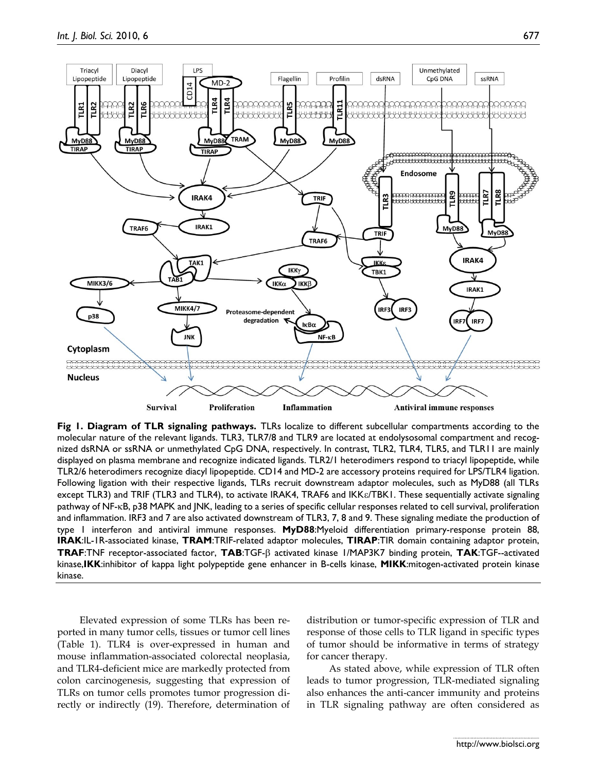

**Fig 1. Diagram of TLR signaling pathways.** TLRs localize to different subcellular compartments according to the molecular nature of the relevant ligands. TLR3, TLR7/8 and TLR9 are located at endolysosomal compartment and recognized dsRNA or ssRNA or unmethylated CpG DNA, respectively. In contrast, TLR2, TLR4, TLR5, and TLR11 are mainly displayed on plasma membrane and recognize indicated ligands. TLR2/1 heterodimers respond to triacyl lipopeptide, while TLR2/6 heterodimers recognize diacyl lipopeptide. CD14 and MD-2 are accessory proteins required for LPS/TLR4 ligation. Following ligation with their respective ligands, TLRs recruit downstream adaptor molecules, such as MyD88 (all TLRs except TLR3) and TRIF (TLR3 and TLR4), to activate IRAK4, TRAF6 and IKK $\varepsilon$ /TBK1. These sequentially activate signaling pathway of NF-KB, p38 MAPK and JNK, leading to a series of specific cellular responses related to cell survival, proliferation and inflammation. IRF3 and 7 are also activated downstream of TLR3, 7, 8 and 9. These signaling mediate the production of type 1 interferon and antiviral immune responses. **MyD88**:Myeloid differentiation primary-response protein 88, **IRAK**:IL-1R-associated kinase, **TRAM**:TRIF-related adaptor molecules, **TIRAP**:TIR domain containing adaptor protein, **TRAF**:TNF receptor-associated factor, **TAB**:TGF- activated kinase 1/MAP3K7 binding protein, **TAK**:TGF--activated kinase,**IKK**:inhibitor of kappa light polypeptide gene enhancer in B-cells kinase, **MIKK**:mitogen-activated protein kinase kinase.

Elevated expression of some TLRs has been reported in many tumor cells, tissues or tumor cell lines (Table 1). TLR4 is over-expressed in human and mouse inflammation-associated colorectal neoplasia, and TLR4-deficient mice are markedly protected from colon carcinogenesis, suggesting that expression of TLRs on tumor cells promotes tumor progression directly or indirectly (19). Therefore, determination of

distribution or tumor-specific expression of TLR and response of those cells to TLR ligand in specific types of tumor should be informative in terms of strategy for cancer therapy.

As stated above, while expression of TLR often leads to tumor progression, TLR-mediated signaling also enhances the anti-cancer immunity and proteins in TLR signaling pathway are often considered as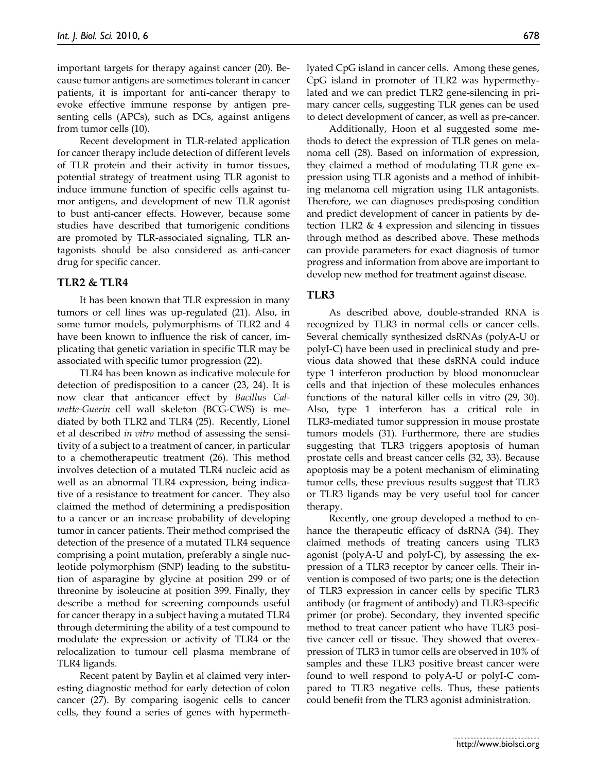important targets for therapy against cancer (20). Because tumor antigens are sometimes tolerant in cancer patients, it is important for anti-cancer therapy to evoke effective immune response by antigen presenting cells (APCs), such as DCs, against antigens from tumor cells (10).

Recent development in TLR-related application for cancer therapy include detection of different levels of TLR protein and their activity in tumor tissues, potential strategy of treatment using TLR agonist to induce immune function of specific cells against tumor antigens, and development of new TLR agonist to bust anti-cancer effects. However, because some studies have described that tumorigenic conditions are promoted by TLR-associated signaling, TLR antagonists should be also considered as anti-cancer drug for specific cancer.

#### **TLR2 & TLR4**

It has been known that TLR expression in many tumors or cell lines was up-regulated (21). Also, in some tumor models, polymorphisms of TLR2 and 4 have been known to influence the risk of cancer, implicating that genetic variation in specific TLR may be associated with specific tumor progression (22).

TLR4 has been known as indicative molecule for detection of predisposition to a cancer (23, 24). It is now clear that anticancer effect by *Bacillus Calmette-Guerin* cell wall skeleton (BCG-CWS) is mediated by both TLR2 and TLR4 (25). Recently, Lionel et al described *in vitro* method of assessing the sensitivity of a subject to a treatment of cancer, in particular to a chemotherapeutic treatment (26). This method involves detection of a mutated TLR4 nucleic acid as well as an abnormal TLR4 expression, being indicative of a resistance to treatment for cancer. They also claimed the method of determining a predisposition to a cancer or an increase probability of developing tumor in cancer patients. Their method comprised the detection of the presence of a mutated TLR4 sequence comprising a point mutation, preferably a single nucleotide polymorphism (SNP) leading to the substitution of asparagine by glycine at position 299 or of threonine by isoleucine at position 399. Finally, they describe a method for screening compounds useful for cancer therapy in a subject having a mutated TLR4 through determining the ability of a test compound to modulate the expression or activity of TLR4 or the relocalization to tumour cell plasma membrane of TLR4 ligands.

Recent patent by Baylin et al claimed very interesting diagnostic method for early detection of colon cancer (27). By comparing isogenic cells to cancer cells, they found a series of genes with hypermethlyated CpG island in cancer cells. Among these genes, CpG island in promoter of TLR2 was hypermethylated and we can predict TLR2 gene-silencing in primary cancer cells, suggesting TLR genes can be used to detect development of cancer, as well as pre-cancer.

Additionally, Hoon et al suggested some methods to detect the expression of TLR genes on melanoma cell (28). Based on information of expression, they claimed a method of modulating TLR gene expression using TLR agonists and a method of inhibiting melanoma cell migration using TLR antagonists. Therefore, we can diagnoses predisposing condition and predict development of cancer in patients by detection TLR2  $& 4$  expression and silencing in tissues through method as described above. These methods can provide parameters for exact diagnosis of tumor progress and information from above are important to develop new method for treatment against disease.

# **TLR3**

As described above, double-stranded RNA is recognized by TLR3 in normal cells or cancer cells. Several chemically synthesized dsRNAs (polyA-U or polyI-C) have been used in preclinical study and previous data showed that these dsRNA could induce type 1 interferon production by blood mononuclear cells and that injection of these molecules enhances functions of the natural killer cells in vitro (29, 30). Also, type 1 interferon has a critical role in TLR3-mediated tumor suppression in mouse prostate tumors models (31). Furthermore, there are studies suggesting that TLR3 triggers apoptosis of human prostate cells and breast cancer cells (32, 33). Because apoptosis may be a potent mechanism of eliminating tumor cells, these previous results suggest that TLR3 or TLR3 ligands may be very useful tool for cancer therapy.

Recently, one group developed a method to enhance the therapeutic efficacy of dsRNA (34). They claimed methods of treating cancers using TLR3 agonist (polyA-U and polyI-C), by assessing the expression of a TLR3 receptor by cancer cells. Their invention is composed of two parts; one is the detection of TLR3 expression in cancer cells by specific TLR3 antibody (or fragment of antibody) and TLR3-specific primer (or probe). Secondary, they invented specific method to treat cancer patient who have TLR3 positive cancer cell or tissue. They showed that overexpression of TLR3 in tumor cells are observed in 10% of samples and these TLR3 positive breast cancer were found to well respond to polyA-U or polyI-C compared to TLR3 negative cells. Thus, these patients could benefit from the TLR3 agonist administration.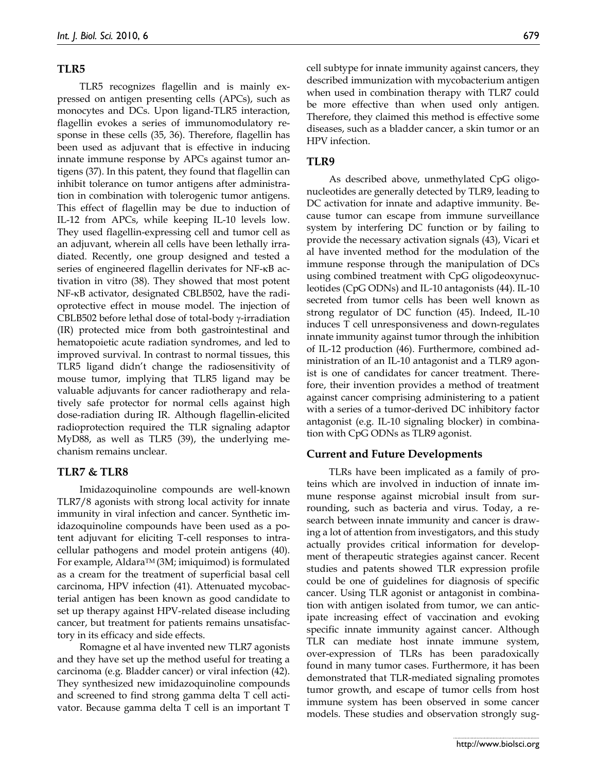# **TLR5**

TLR5 recognizes flagellin and is mainly expressed on antigen presenting cells (APCs), such as monocytes and DCs. Upon ligand-TLR5 interaction, flagellin evokes a series of immunomodulatory response in these cells (35, 36). Therefore, flagellin has been used as adjuvant that is effective in inducing innate immune response by APCs against tumor antigens (37). In this patent, they found that flagellin can inhibit tolerance on tumor antigens after administration in combination with tolerogenic tumor antigens. This effect of flagellin may be due to induction of IL-12 from APCs, while keeping IL-10 levels low. They used flagellin-expressing cell and tumor cell as an adjuvant, wherein all cells have been lethally irradiated. Recently, one group designed and tested a series of engineered flagellin derivates for NF-KB activation in vitro (38). They showed that most potent NF-KB activator, designated CBLB502, have the radioprotective effect in mouse model. The injection of CBLB502 before lethal dose of total-body  $\gamma$ -irradiation (IR) protected mice from both gastrointestinal and hematopoietic acute radiation syndromes, and led to improved survival. In contrast to normal tissues, this TLR5 ligand didn't change the radiosensitivity of mouse tumor, implying that TLR5 ligand may be valuable adjuvants for cancer radiotherapy and relatively safe protector for normal cells against high dose-radiation during IR. Although flagellin-elicited radioprotection required the TLR signaling adaptor MyD88, as well as TLR5 (39), the underlying mechanism remains unclear.

# **TLR7 & TLR8**

Imidazoquinoline compounds are well-known TLR7/8 agonists with strong local activity for innate immunity in viral infection and cancer. Synthetic imidazoquinoline compounds have been used as a potent adjuvant for eliciting T-cell responses to intracellular pathogens and model protein antigens (40). For example, Aldara<sup>TM</sup> (3M; imiquimod) is formulated as a cream for the treatment of superficial basal cell carcinoma, HPV infection (41). Attenuated mycobacterial antigen has been known as good candidate to set up therapy against HPV-related disease including cancer, but treatment for patients remains unsatisfactory in its efficacy and side effects.

Romagne et al have invented new TLR7 agonists and they have set up the method useful for treating a carcinoma (e.g. Bladder cancer) or viral infection (42). They synthesized new imidazoquinoline compounds and screened to find strong gamma delta T cell activator. Because gamma delta T cell is an important T cell subtype for innate immunity against cancers, they described immunization with mycobacterium antigen when used in combination therapy with TLR7 could be more effective than when used only antigen. Therefore, they claimed this method is effective some diseases, such as a bladder cancer, a skin tumor or an HPV infection.

# **TLR9**

As described above, unmethylated CpG oligonucleotides are generally detected by TLR9, leading to DC activation for innate and adaptive immunity. Because tumor can escape from immune surveillance system by interfering DC function or by failing to provide the necessary activation signals (43), Vicari et al have invented method for the modulation of the immune response through the manipulation of DCs using combined treatment with CpG oligodeoxynucleotides (CpG ODNs) and IL-10 antagonists (44). IL-10 secreted from tumor cells has been well known as strong regulator of DC function (45). Indeed, IL-10 induces T cell unresponsiveness and down-regulates innate immunity against tumor through the inhibition of IL-12 production (46). Furthermore, combined administration of an IL-10 antagonist and a TLR9 agonist is one of candidates for cancer treatment. Therefore, their invention provides a method of treatment against cancer comprising administering to a patient with a series of a tumor-derived DC inhibitory factor antagonist (e.g. IL-10 signaling blocker) in combination with CpG ODNs as TLR9 agonist.

# **Current and Future Developments**

TLRs have been implicated as a family of proteins which are involved in induction of innate immune response against microbial insult from surrounding, such as bacteria and virus. Today, a research between innate immunity and cancer is drawing a lot of attention from investigators, and this study actually provides critical information for development of therapeutic strategies against cancer. Recent studies and patents showed TLR expression profile could be one of guidelines for diagnosis of specific cancer. Using TLR agonist or antagonist in combination with antigen isolated from tumor, we can anticipate increasing effect of vaccination and evoking specific innate immunity against cancer. Although TLR can mediate host innate immune system, over-expression of TLRs has been paradoxically found in many tumor cases. Furthermore, it has been demonstrated that TLR-mediated signaling promotes tumor growth, and escape of tumor cells from host immune system has been observed in some cancer models. These studies and observation strongly sug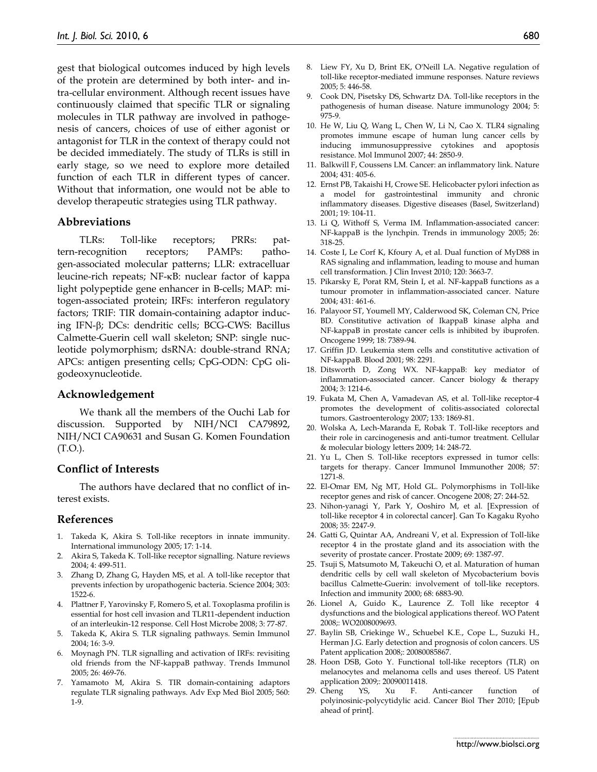gest that biological outcomes induced by high levels of the protein are determined by both inter- and intra-cellular environment. Although recent issues have continuously claimed that specific TLR or signaling molecules in TLR pathway are involved in pathogenesis of cancers, choices of use of either agonist or antagonist for TLR in the context of therapy could not be decided immediately. The study of TLRs is still in early stage, so we need to explore more detailed function of each TLR in different types of cancer. Without that information, one would not be able to develop therapeutic strategies using TLR pathway.

#### **Abbreviations**

TLRs: Toll-like receptors; PRRs: pattern-recognition receptors; PAMPs: pathogen-associated molecular patterns; LLR: extracelluar leucine-rich repeats; NF-KB: nuclear factor of kappa light polypeptide gene enhancer in B-cells; MAP: mitogen-associated protein; IRFs: interferon regulatory factors; TRIF: TIR domain-containing adaptor inducing IFN- $\beta$ ; DCs: dendritic cells; BCG-CWS: Bacillus Calmette-Guerin cell wall skeleton; SNP: single nucleotide polymorphism; dsRNA: double-strand RNA; APCs: antigen presenting cells; CpG-ODN: CpG oligodeoxynucleotide.

#### **Acknowledgement**

We thank all the members of the Ouchi Lab for discussion. Supported by NIH/NCI CA79892, NIH/NCI CA90631 and Susan G. Komen Foundation (T.O.).

#### **Conflict of Interests**

The authors have declared that no conflict of interest exists.

#### **References**

- 1. Takeda K, Akira S. Toll-like receptors in innate immunity. International immunology 2005; 17: 1-14.
- 2. Akira S, Takeda K. Toll-like receptor signalling. Nature reviews 2004; 4: 499-511.
- 3. Zhang D, Zhang G, Hayden MS, et al. A toll-like receptor that prevents infection by uropathogenic bacteria. Science 2004; 303: 1522-6.
- 4. Plattner F, Yarovinsky F, Romero S, et al. Toxoplasma profilin is essential for host cell invasion and TLR11-dependent induction of an interleukin-12 response. Cell Host Microbe 2008; 3: 77-87.
- 5. Takeda K, Akira S. TLR signaling pathways. Semin Immunol 2004; 16: 3-9.
- 6. Moynagh PN. TLR signalling and activation of IRFs: revisiting old friends from the NF-kappaB pathway. Trends Immunol 2005; 26: 469-76.
- 7. Yamamoto M, Akira S. TIR domain-containing adaptors regulate TLR signaling pathways. Adv Exp Med Biol 2005; 560: 1-9.
- 8. Liew FY, Xu D, Brint EK, O'Neill LA. Negative regulation of toll-like receptor-mediated immune responses. Nature reviews 2005; 5: 446-58.
- 9. Cook DN, Pisetsky DS, Schwartz DA. Toll-like receptors in the pathogenesis of human disease. Nature immunology 2004; 5: 975-9.
- 10. He W, Liu Q, Wang L, Chen W, Li N, Cao X. TLR4 signaling promotes immune escape of human lung cancer cells by inducing immunosuppressive cytokines and apoptosis resistance. Mol Immunol 2007; 44: 2850-9.
- 11. Balkwill F, Coussens LM. Cancer: an inflammatory link. Nature 2004; 431: 405-6.
- 12. Ernst PB, Takaishi H, Crowe SE. Helicobacter pylori infection as a model for gastrointestinal immunity and chronic inflammatory diseases. Digestive diseases (Basel, Switzerland) 2001; 19: 104-11.
- 13. Li Q, Withoff S, Verma IM. Inflammation-associated cancer: NF-kappaB is the lynchpin. Trends in immunology 2005; 26: 318-25.
- 14. Coste I, Le Corf K, Kfoury A, et al. Dual function of MyD88 in RAS signaling and inflammation, leading to mouse and human cell transformation. J Clin Invest 2010; 120: 3663-7.
- 15. Pikarsky E, Porat RM, Stein I, et al. NF-kappaB functions as a tumour promoter in inflammation-associated cancer. Nature 2004; 431: 461-6.
- 16. Palayoor ST, Youmell MY, Calderwood SK, Coleman CN, Price BD. Constitutive activation of IkappaB kinase alpha and NF-kappaB in prostate cancer cells is inhibited by ibuprofen. Oncogene 1999; 18: 7389-94.
- 17. Griffin JD. Leukemia stem cells and constitutive activation of NF-kappaB. Blood 2001; 98: 2291.
- 18. Ditsworth D, Zong WX. NF-kappaB: key mediator of inflammation-associated cancer. Cancer biology & therapy 2004; 3: 1214-6.
- 19. Fukata M, Chen A, Vamadevan AS, et al. Toll-like receptor-4 promotes the development of colitis-associated colorectal tumors. Gastroenterology 2007; 133: 1869-81.
- 20. Wolska A, Lech-Maranda E, Robak T. Toll-like receptors and their role in carcinogenesis and anti-tumor treatment. Cellular & molecular biology letters 2009; 14: 248-72.
- 21. Yu L, Chen S. Toll-like receptors expressed in tumor cells: targets for therapy. Cancer Immunol Immunother 2008; 57: 1271-8.
- 22. El-Omar EM, Ng MT, Hold GL. Polymorphisms in Toll-like receptor genes and risk of cancer. Oncogene 2008; 27: 244-52.
- 23. Nihon-yanagi Y, Park Y, Ooshiro M, et al. [Expression of toll-like receptor 4 in colorectal cancer]. Gan To Kagaku Ryoho 2008; 35: 2247-9.
- 24. Gatti G, Quintar AA, Andreani V, et al. Expression of Toll-like receptor 4 in the prostate gland and its association with the severity of prostate cancer. Prostate 2009; 69: 1387-97.
- 25. Tsuji S, Matsumoto M, Takeuchi O, et al. Maturation of human dendritic cells by cell wall skeleton of Mycobacterium bovis bacillus Calmette-Guerin: involvement of toll-like receptors. Infection and immunity 2000; 68: 6883-90.
- 26. Lionel A, Guido K., Laurence Z. Toll like receptor 4 dysfunctions and the biological applications thereof. WO Patent 2008;: WO2008009693.
- 27. Baylin SB, Criekinge W., Schuebel K.E., Cope L., Suzuki H., Herman J.G. Early detection and prognosis of colon cancers. US Patent application 2008;: 20080085867.
- 28. Hoon DSB, Goto Y. Functional toll-like receptors (TLR) on melanocytes and melanoma cells and uses thereof. US Patent application 2009;: 20090011418.
- 29. Cheng YS, Xu F. Anti-cancer function of polyinosinic-polycytidylic acid. Cancer Biol Ther 2010; [Epub ahead of print].